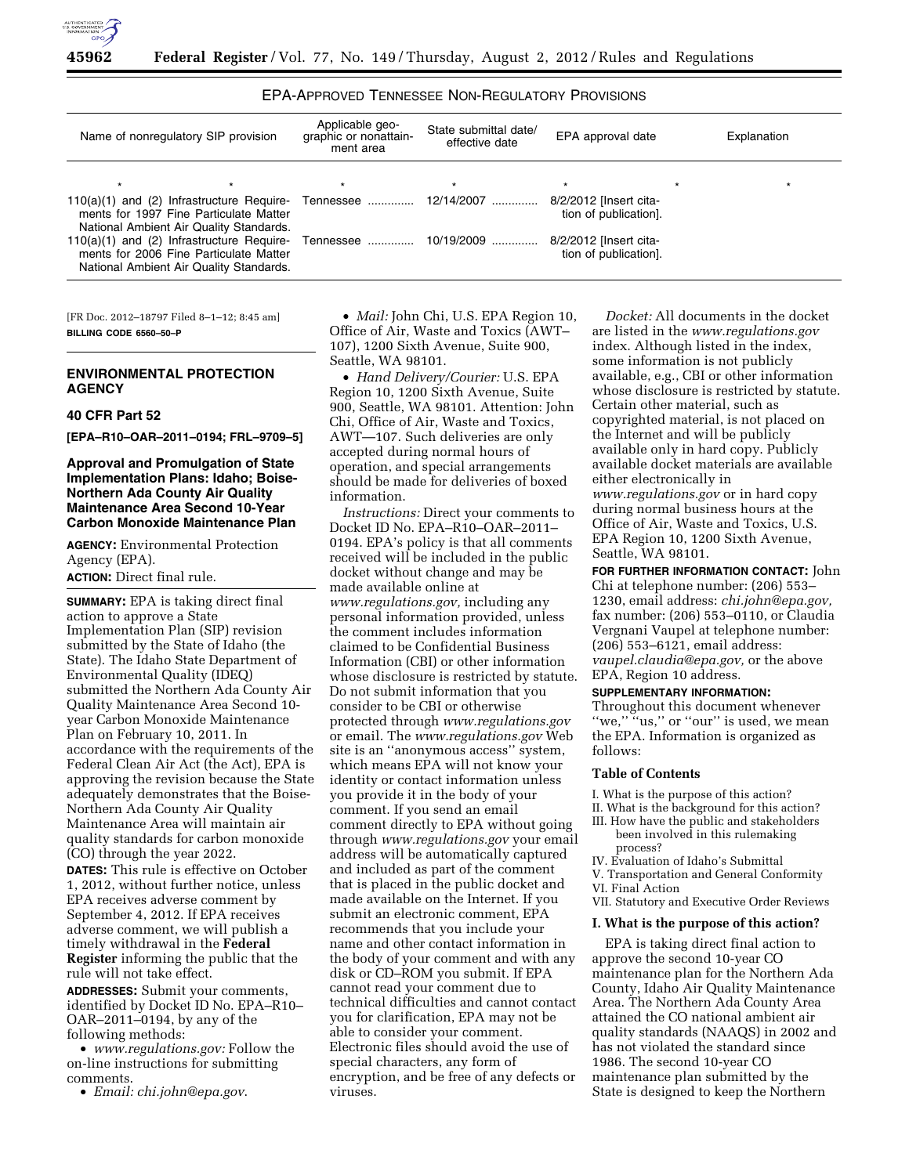

EPA-APPROVED TENNESSEE NON-REGULATORY PROVISIONS

| Name of nonregulatory SIP provision                                                                                                                  | Applicable geo-<br>graphic or nonattain-<br>ment area | State submittal date/<br>effective date | EPA approval date                               | Explanation |  |  |
|------------------------------------------------------------------------------------------------------------------------------------------------------|-------------------------------------------------------|-----------------------------------------|-------------------------------------------------|-------------|--|--|
|                                                                                                                                                      |                                                       | $\star$                                 | $\star$                                         | $\star$     |  |  |
| 110(a)(1) and (2) Infrastructure Require- Tennessee  12/14/2007<br>ments for 1997 Fine Particulate Matter<br>National Ambient Air Quality Standards. |                                                       |                                         | 8/2/2012 [Insert cita-<br>tion of publication]. |             |  |  |
| 110(a)(1) and (2) Infrastructure Require- Tennessee  10/19/2009<br>ments for 2006 Fine Particulate Matter<br>National Ambient Air Quality Standards. |                                                       |                                         | 8/2/2012 [Insert cita-<br>tion of publication]. |             |  |  |

[FR Doc. 2012–18797 Filed 8–1–12; 8:45 am] **BILLING CODE 6560–50–P** 

# **ENVIRONMENTAL PROTECTION AGENCY**

## **40 CFR Part 52**

**[EPA–R10–OAR–2011–0194; FRL–9709–5]** 

# **Approval and Promulgation of State Implementation Plans: Idaho; Boise-Northern Ada County Air Quality Maintenance Area Second 10-Year Carbon Monoxide Maintenance Plan**

**AGENCY:** Environmental Protection Agency (EPA). **ACTION:** Direct final rule.

**SUMMARY:** EPA is taking direct final action to approve a State Implementation Plan (SIP) revision submitted by the State of Idaho (the State). The Idaho State Department of Environmental Quality (IDEQ) submitted the Northern Ada County Air Quality Maintenance Area Second 10 year Carbon Monoxide Maintenance Plan on February 10, 2011. In accordance with the requirements of the Federal Clean Air Act (the Act), EPA is approving the revision because the State adequately demonstrates that the Boise-Northern Ada County Air Quality Maintenance Area will maintain air quality standards for carbon monoxide (CO) through the year 2022.

**DATES:** This rule is effective on October 1, 2012, without further notice, unless EPA receives adverse comment by September 4, 2012. If EPA receives adverse comment, we will publish a timely withdrawal in the **Federal Register** informing the public that the rule will not take effect.

**ADDRESSES:** Submit your comments, identified by Docket ID No. EPA–R10– OAR–2011–0194, by any of the following methods:

• *[www.regulations.gov:](http://www.regulations.gov)* Follow the on-line instructions for submitting comments.

• *Email: [chi.john@epa.gov](mailto:chi.john@epa.gov)*.

• *Mail:* John Chi, U.S. EPA Region 10, Office of Air, Waste and Toxics (AWT– 107), 1200 Sixth Avenue, Suite 900, Seattle, WA 98101.

• *Hand Delivery/Courier:* U.S. EPA Region 10, 1200 Sixth Avenue, Suite 900, Seattle, WA 98101. Attention: John Chi, Office of Air, Waste and Toxics, AWT—107. Such deliveries are only accepted during normal hours of operation, and special arrangements should be made for deliveries of boxed information.

*Instructions:* Direct your comments to Docket ID No. EPA–R10–OAR–2011– 0194. EPA's policy is that all comments received will be included in the public docket without change and may be made available online at *[www.regulations.gov,](http://www.regulations.gov)* including any personal information provided, unless the comment includes information claimed to be Confidential Business Information (CBI) or other information whose disclosure is restricted by statute. Do not submit information that you consider to be CBI or otherwise protected through *[www.regulations.gov](http://www.regulations.gov)*  or email. The *[www.regulations.gov](http://www.regulations.gov)* Web site is an ''anonymous access'' system, which means EPA will not know your identity or contact information unless you provide it in the body of your comment. If you send an email comment directly to EPA without going through *[www.regulations.gov](http://www.regulations.gov)* your email address will be automatically captured and included as part of the comment that is placed in the public docket and made available on the Internet. If you submit an electronic comment, EPA recommends that you include your name and other contact information in the body of your comment and with any disk or CD–ROM you submit. If EPA cannot read your comment due to technical difficulties and cannot contact you for clarification, EPA may not be able to consider your comment. Electronic files should avoid the use of special characters, any form of encryption, and be free of any defects or viruses.

*Docket:* All documents in the docket are listed in the *[www.regulations.gov](http://www.regulations.gov)*  index. Although listed in the index, some information is not publicly available, e.g., CBI or other information whose disclosure is restricted by statute. Certain other material, such as copyrighted material, is not placed on the Internet and will be publicly available only in hard copy. Publicly available docket materials are available either electronically in *[www.regulations.gov](http://www.regulations.gov)* or in hard copy during normal business hours at the Office of Air, Waste and Toxics, U.S. EPA Region 10, 1200 Sixth Avenue, Seattle, WA 98101.

**FOR FURTHER INFORMATION CONTACT:** John Chi at telephone number: (206) 553– 1230, email address: *[chi.john@epa.gov,](mailto:chi.john@epa.gov)*  fax number: (206) 553–0110, or Claudia Vergnani Vaupel at telephone number: (206) 553–6121, email address: *[vaupel.claudia@epa.gov,](mailto:vaupel.claudia@epa.gov)* or the above EPA, Region 10 address.

## **SUPPLEMENTARY INFORMATION:**

Throughout this document whenever "we," "us," or "our" is used, we mean the EPA. Information is organized as follows:

## **Table of Contents**

I. What is the purpose of this action?

- II. What is the background for this action?
- III. How have the public and stakeholders been involved in this rulemaking process?
- IV. Evaluation of Idaho's Submittal
- V. Transportation and General Conformity
- VI. Final Action
- VII. Statutory and Executive Order Reviews

## **I. What is the purpose of this action?**

EPA is taking direct final action to approve the second 10-year CO maintenance plan for the Northern Ada County, Idaho Air Quality Maintenance Area. The Northern Ada County Area attained the CO national ambient air quality standards (NAAQS) in 2002 and has not violated the standard since 1986. The second 10-year CO maintenance plan submitted by the State is designed to keep the Northern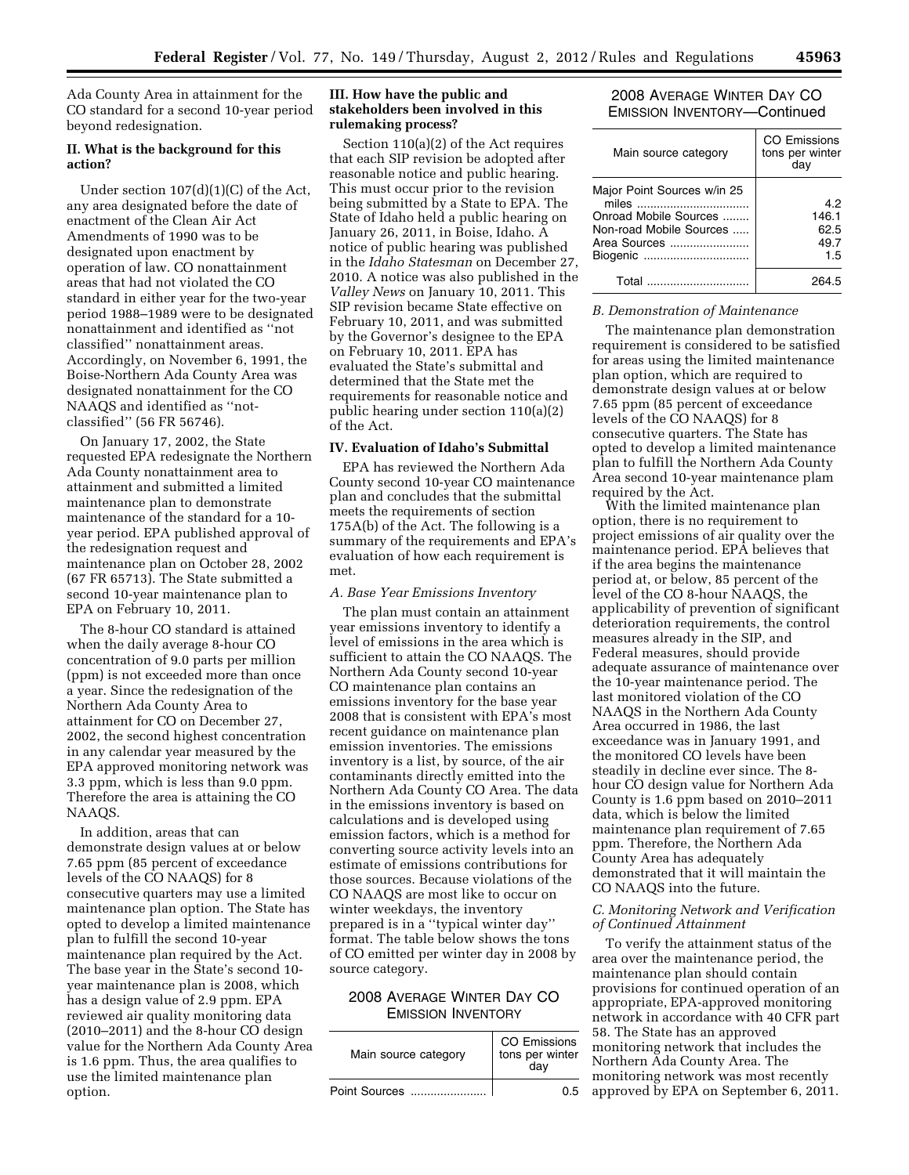Ada County Area in attainment for the CO standard for a second 10-year period beyond redesignation.

### **II. What is the background for this action?**

Under section 107(d)(1)(C) of the Act, any area designated before the date of enactment of the Clean Air Act Amendments of 1990 was to be designated upon enactment by operation of law. CO nonattainment areas that had not violated the CO standard in either year for the two-year period 1988–1989 were to be designated nonattainment and identified as ''not classified'' nonattainment areas. Accordingly, on November 6, 1991, the Boise-Northern Ada County Area was designated nonattainment for the CO NAAQS and identified as ''notclassified'' (56 FR 56746).

On January 17, 2002, the State requested EPA redesignate the Northern Ada County nonattainment area to attainment and submitted a limited maintenance plan to demonstrate maintenance of the standard for a 10 year period. EPA published approval of the redesignation request and maintenance plan on October 28, 2002 (67 FR 65713). The State submitted a second 10-year maintenance plan to EPA on February 10, 2011.

The 8-hour CO standard is attained when the daily average 8-hour CO concentration of 9.0 parts per million (ppm) is not exceeded more than once a year. Since the redesignation of the Northern Ada County Area to attainment for CO on December 27, 2002, the second highest concentration in any calendar year measured by the EPA approved monitoring network was 3.3 ppm, which is less than 9.0 ppm. Therefore the area is attaining the CO NAAQS.

In addition, areas that can demonstrate design values at or below 7.65 ppm (85 percent of exceedance levels of the CO NAAQS) for 8 consecutive quarters may use a limited maintenance plan option. The State has opted to develop a limited maintenance plan to fulfill the second 10-year maintenance plan required by the Act. The base year in the State's second 10 year maintenance plan is 2008, which has a design value of 2.9 ppm. EPA reviewed air quality monitoring data (2010–2011) and the 8-hour CO design value for the Northern Ada County Area is 1.6 ppm. Thus, the area qualifies to use the limited maintenance plan option.

## **III. How have the public and stakeholders been involved in this rulemaking process?**

Section 110(a)(2) of the Act requires that each SIP revision be adopted after reasonable notice and public hearing. This must occur prior to the revision being submitted by a State to EPA. The State of Idaho held a public hearing on January 26, 2011, in Boise, Idaho. A notice of public hearing was published in the *Idaho Statesman* on December 27, 2010. A notice was also published in the *Valley News* on January 10, 2011. This SIP revision became State effective on February 10, 2011, and was submitted by the Governor's designee to the EPA on February 10, 2011. EPA has evaluated the State's submittal and determined that the State met the requirements for reasonable notice and public hearing under section 110(a)(2) of the Act.

## **IV. Evaluation of Idaho's Submittal**

EPA has reviewed the Northern Ada County second 10-year CO maintenance plan and concludes that the submittal meets the requirements of section 175A(b) of the Act. The following is a summary of the requirements and EPA's evaluation of how each requirement is met.

### *A. Base Year Emissions Inventory*

The plan must contain an attainment year emissions inventory to identify a level of emissions in the area which is sufficient to attain the CO NAAQS. The Northern Ada County second 10-year CO maintenance plan contains an emissions inventory for the base year 2008 that is consistent with EPA's most recent guidance on maintenance plan emission inventories. The emissions inventory is a list, by source, of the air contaminants directly emitted into the Northern Ada County CO Area. The data in the emissions inventory is based on calculations and is developed using emission factors, which is a method for converting source activity levels into an estimate of emissions contributions for those sources. Because violations of the CO NAAQS are most like to occur on winter weekdays, the inventory prepared is in a ''typical winter day'' format. The table below shows the tons of CO emitted per winter day in 2008 by source category.

# 2008 AVERAGE WINTER DAY CO EMISSION INVENTORY

| Main source category | CO Emissions<br>tons per winter<br>dav |  |  |
|----------------------|----------------------------------------|--|--|
| Point Sources        | ስ 5                                    |  |  |

# 2008 AVERAGE WINTER DAY CO EMISSION INVENTORY—Continued

| Main source category                                                                                                 | CO Emissions<br>tons per winter<br>day |
|----------------------------------------------------------------------------------------------------------------------|----------------------------------------|
| Major Point Sources w/in 25<br>miles<br>Onroad Mobile Sources<br>Non-road Mobile Sources<br>Area Sources<br>Biogenic | 42<br>146.1<br>62.5<br>49.7<br>1.5     |
| Total                                                                                                                |                                        |

### *B. Demonstration of Maintenance*

The maintenance plan demonstration requirement is considered to be satisfied for areas using the limited maintenance plan option, which are required to demonstrate design values at or below 7.65 ppm (85 percent of exceedance levels of the CO NAAQS) for 8 consecutive quarters. The State has opted to develop a limited maintenance plan to fulfill the Northern Ada County Area second 10-year maintenance plam required by the Act.

With the limited maintenance plan option, there is no requirement to project emissions of air quality over the maintenance period. EPA believes that if the area begins the maintenance period at, or below, 85 percent of the level of the CO 8-hour NAAQS, the applicability of prevention of significant deterioration requirements, the control measures already in the SIP, and Federal measures, should provide adequate assurance of maintenance over the 10-year maintenance period. The last monitored violation of the CO NAAQS in the Northern Ada County Area occurred in 1986, the last exceedance was in January 1991, and the monitored CO levels have been steadily in decline ever since. The 8 hour CO design value for Northern Ada County is 1.6 ppm based on 2010–2011 data, which is below the limited maintenance plan requirement of 7.65 ppm. Therefore, the Northern Ada County Area has adequately demonstrated that it will maintain the CO NAAQS into the future.

### *C. Monitoring Network and Verification of Continued Attainment*

To verify the attainment status of the area over the maintenance period, the maintenance plan should contain provisions for continued operation of an appropriate, EPA-approved monitoring network in accordance with 40 CFR part 58. The State has an approved monitoring network that includes the Northern Ada County Area. The monitoring network was most recently approved by EPA on September 6, 2011.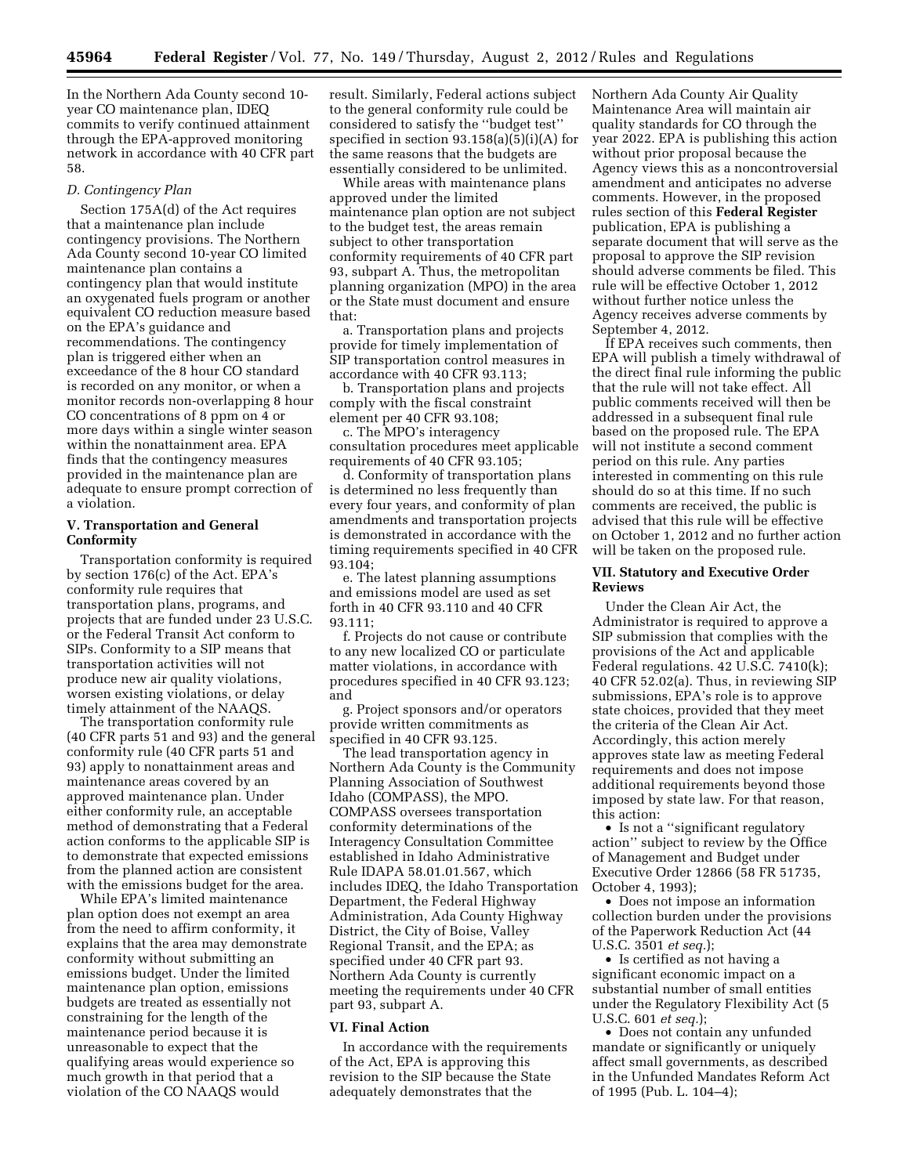In the Northern Ada County second 10 year CO maintenance plan, IDEQ commits to verify continued attainment through the EPA-approved monitoring network in accordance with 40 CFR part 58.

### *D. Contingency Plan*

Section 175A(d) of the Act requires that a maintenance plan include contingency provisions. The Northern Ada County second 10-year CO limited maintenance plan contains a contingency plan that would institute an oxygenated fuels program or another equivalent CO reduction measure based on the EPA's guidance and recommendations. The contingency plan is triggered either when an exceedance of the 8 hour CO standard is recorded on any monitor, or when a monitor records non-overlapping 8 hour CO concentrations of 8 ppm on 4 or more days within a single winter season within the nonattainment area. EPA finds that the contingency measures provided in the maintenance plan are adequate to ensure prompt correction of a violation.

### **V. Transportation and General Conformity**

Transportation conformity is required by section 176(c) of the Act. EPA's conformity rule requires that transportation plans, programs, and projects that are funded under 23 U.S.C. or the Federal Transit Act conform to SIPs. Conformity to a SIP means that transportation activities will not produce new air quality violations, worsen existing violations, or delay timely attainment of the NAAQS.

The transportation conformity rule (40 CFR parts 51 and 93) and the general conformity rule (40 CFR parts 51 and 93) apply to nonattainment areas and maintenance areas covered by an approved maintenance plan. Under either conformity rule, an acceptable method of demonstrating that a Federal action conforms to the applicable SIP is to demonstrate that expected emissions from the planned action are consistent with the emissions budget for the area.

While EPA's limited maintenance plan option does not exempt an area from the need to affirm conformity, it explains that the area may demonstrate conformity without submitting an emissions budget. Under the limited maintenance plan option, emissions budgets are treated as essentially not constraining for the length of the maintenance period because it is unreasonable to expect that the qualifying areas would experience so much growth in that period that a violation of the CO NAAQS would

result. Similarly, Federal actions subject to the general conformity rule could be considered to satisfy the ''budget test'' specified in section 93.158(a)(5)(i)(A) for the same reasons that the budgets are essentially considered to be unlimited.

While areas with maintenance plans approved under the limited maintenance plan option are not subject to the budget test, the areas remain subject to other transportation conformity requirements of 40 CFR part 93, subpart A. Thus, the metropolitan planning organization (MPO) in the area or the State must document and ensure that:

a. Transportation plans and projects provide for timely implementation of SIP transportation control measures in accordance with 40 CFR 93.113;

b. Transportation plans and projects comply with the fiscal constraint element per 40 CFR 93.108;

c. The MPO's interagency consultation procedures meet applicable requirements of 40 CFR 93.105;

d. Conformity of transportation plans is determined no less frequently than every four years, and conformity of plan amendments and transportation projects is demonstrated in accordance with the timing requirements specified in 40 CFR 93.104;

e. The latest planning assumptions and emissions model are used as set forth in 40 CFR 93.110 and 40 CFR 93.111;

f. Projects do not cause or contribute to any new localized CO or particulate matter violations, in accordance with procedures specified in 40 CFR 93.123; and

g. Project sponsors and/or operators provide written commitments as specified in 40 CFR 93.125.

The lead transportation agency in Northern Ada County is the Community Planning Association of Southwest Idaho (COMPASS), the MPO. COMPASS oversees transportation conformity determinations of the Interagency Consultation Committee established in Idaho Administrative Rule IDAPA 58.01.01.567, which includes IDEQ, the Idaho Transportation Department, the Federal Highway Administration, Ada County Highway District, the City of Boise, Valley Regional Transit, and the EPA; as specified under 40 CFR part 93. Northern Ada County is currently meeting the requirements under 40 CFR part 93, subpart A.

### **VI. Final Action**

In accordance with the requirements of the Act, EPA is approving this revision to the SIP because the State adequately demonstrates that the

Northern Ada County Air Quality Maintenance Area will maintain air quality standards for CO through the year 2022. EPA is publishing this action without prior proposal because the Agency views this as a noncontroversial amendment and anticipates no adverse comments. However, in the proposed rules section of this **Federal Register**  publication, EPA is publishing a separate document that will serve as the proposal to approve the SIP revision should adverse comments be filed. This rule will be effective October 1, 2012 without further notice unless the Agency receives adverse comments by September 4, 2012.

If EPA receives such comments, then EPA will publish a timely withdrawal of the direct final rule informing the public that the rule will not take effect. All public comments received will then be addressed in a subsequent final rule based on the proposed rule. The EPA will not institute a second comment period on this rule. Any parties interested in commenting on this rule should do so at this time. If no such comments are received, the public is advised that this rule will be effective on October 1, 2012 and no further action will be taken on the proposed rule.

### **VII. Statutory and Executive Order Reviews**

Under the Clean Air Act, the Administrator is required to approve a SIP submission that complies with the provisions of the Act and applicable Federal regulations. 42 U.S.C. 7410(k); 40 CFR 52.02(a). Thus, in reviewing SIP submissions, EPA's role is to approve state choices, provided that they meet the criteria of the Clean Air Act. Accordingly, this action merely approves state law as meeting Federal requirements and does not impose additional requirements beyond those imposed by state law. For that reason, this action:

• Is not a ''significant regulatory action'' subject to review by the Office of Management and Budget under Executive Order 12866 (58 FR 51735, October 4, 1993);

• Does not impose an information collection burden under the provisions of the Paperwork Reduction Act (44 U.S.C. 3501 *et seq.*);

• Is certified as not having a significant economic impact on a substantial number of small entities under the Regulatory Flexibility Act (5 U.S.C. 601 *et seq.*);

• Does not contain any unfunded mandate or significantly or uniquely affect small governments, as described in the Unfunded Mandates Reform Act of 1995 (Pub. L. 104–4);